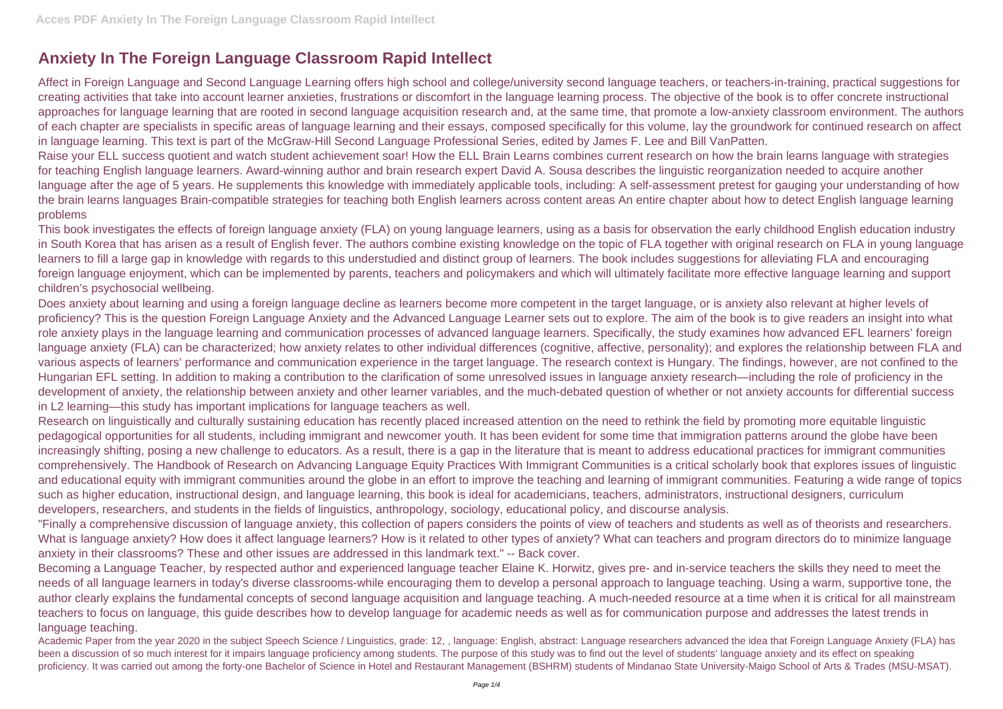## **Anxiety In The Foreign Language Classroom Rapid Intellect**

Affect in Foreign Language and Second Language Learning offers high school and college/university second language teachers, or teachers-in-training, practical suggestions for creating activities that take into account learner anxieties, frustrations or discomfort in the language learning process. The objective of the book is to offer concrete instructional approaches for language learning that are rooted in second language acquisition research and, at the same time, that promote a low-anxiety classroom environment. The authors of each chapter are specialists in specific areas of language learning and their essays, composed specifically for this volume, lay the groundwork for continued research on affect in language learning. This text is part of the McGraw-Hill Second Language Professional Series, edited by James F. Lee and Bill VanPatten. Raise your ELL success quotient and watch student achievement soar! How the ELL Brain Learns combines current research on how the brain learns language with strategies for teaching English language learners. Award-winning author and brain research expert David A. Sousa describes the linguistic reorganization needed to acquire another language after the age of 5 years. He supplements this knowledge with immediately applicable tools, including: A self-assessment pretest for gauging your understanding of how the brain learns languages Brain-compatible strategies for teaching both English learners across content areas An entire chapter about how to detect English language learning problems

This book investigates the effects of foreign language anxiety (FLA) on young language learners, using as a basis for observation the early childhood English education industry in South Korea that has arisen as a result of English fever. The authors combine existing knowledge on the topic of FLA together with original research on FLA in young language learners to fill a large gap in knowledge with regards to this understudied and distinct group of learners. The book includes suggestions for alleviating FLA and encouraging foreign language enjoyment, which can be implemented by parents, teachers and policymakers and which will ultimately facilitate more effective language learning and support children's psychosocial wellbeing.

Does anxiety about learning and using a foreign language decline as learners become more competent in the target language, or is anxiety also relevant at higher levels of proficiency? This is the question Foreign Language Anxiety and the Advanced Language Learner sets out to explore. The aim of the book is to give readers an insight into what role anxiety plays in the language learning and communication processes of advanced language learners. Specifically, the study examines how advanced EFL learners' foreign language anxiety (FLA) can be characterized; how anxiety relates to other individual differences (cognitive, affective, personality); and explores the relationship between FLA and various aspects of learners' performance and communication experience in the target language. The research context is Hungary. The findings, however, are not confined to the Hungarian EFL setting. In addition to making a contribution to the clarification of some unresolved issues in language anxiety research—including the role of proficiency in the development of anxiety, the relationship between anxiety and other learner variables, and the much-debated question of whether or not anxiety accounts for differential success in L2 learning—this study has important implications for language teachers as well.

Research on linguistically and culturally sustaining education has recently placed increased attention on the need to rethink the field by promoting more equitable linguistic pedagogical opportunities for all students, including immigrant and newcomer youth. It has been evident for some time that immigration patterns around the globe have been increasingly shifting, posing a new challenge to educators. As a result, there is a gap in the literature that is meant to address educational practices for immigrant communities comprehensively. The Handbook of Research on Advancing Language Equity Practices With Immigrant Communities is a critical scholarly book that explores issues of linguistic and educational equity with immigrant communities around the globe in an effort to improve the teaching and learning of immigrant communities. Featuring a wide range of topics such as higher education, instructional design, and language learning, this book is ideal for academicians, teachers, administrators, instructional designers, curriculum developers, researchers, and students in the fields of linguistics, anthropology, sociology, educational policy, and discourse analysis.

"Finally a comprehensive discussion of language anxiety, this collection of papers considers the points of view of teachers and students as well as of theorists and researchers. What is language anxiety? How does it affect language learners? How is it related to other types of anxiety? What can teachers and program directors do to minimize language anxiety in their classrooms? These and other issues are addressed in this landmark text." -- Back cover.

Becoming a Language Teacher, by respected author and experienced language teacher Elaine K. Horwitz, gives pre- and in-service teachers the skills they need to meet the needs of all language learners in today's diverse classrooms-while encouraging them to develop a personal approach to language teaching. Using a warm, supportive tone, the author clearly explains the fundamental concepts of second language acquisition and language teaching. A much-needed resource at a time when it is critical for all mainstream teachers to focus on language, this guide describes how to develop language for academic needs as well as for communication purpose and addresses the latest trends in language teaching.

Academic Paper from the year 2020 in the subject Speech Science / Linguistics, grade: 12, , language: English, abstract: Language researchers advanced the idea that Foreign Language Anxiety (FLA) has been a discussion of so much interest for it impairs language proficiency among students. The purpose of this study was to find out the level of students' language anxiety and its effect on speaking proficiency. It was carried out among the forty-one Bachelor of Science in Hotel and Restaurant Management (BSHRM) students of Mindanao State University-Maigo School of Arts & Trades (MSU-MSAT).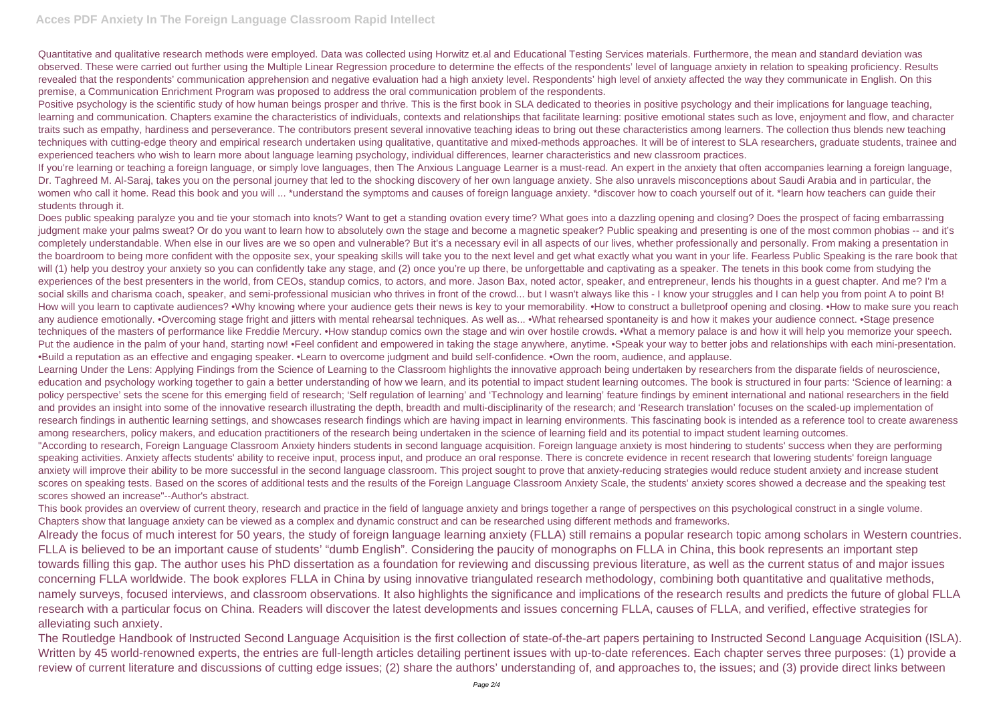Quantitative and qualitative research methods were employed. Data was collected using Horwitz et.al and Educational Testing Services materials. Furthermore, the mean and standard deviation was observed. These were carried out further using the Multiple Linear Regression procedure to determine the effects of the respondents' level of language anxiety in relation to speaking proficiency. Results revealed that the respondents' communication apprehension and negative evaluation had a high anxiety level. Respondents' high level of anxiety affected the way they communicate in English. On this premise, a Communication Enrichment Program was proposed to address the oral communication problem of the respondents.

Positive psychology is the scientific study of how human beings prosper and thrive. This is the first book in SLA dedicated to theories in positive psychology and their implications for language teaching, learning and communication. Chapters examine the characteristics of individuals, contexts and relationships that facilitate learning: positive emotional states such as love, enjoyment and flow, and character traits such as empathy, hardiness and perseverance. The contributors present several innovative teaching ideas to bring out these characteristics among learners. The collection thus blends new teaching techniques with cutting-edge theory and empirical research undertaken using qualitative, quantitative and mixed-methods approaches. It will be of interest to SLA researchers, graduate students, trainee and experienced teachers who wish to learn more about language learning psychology, individual differences, learner characteristics and new classroom practices. If you're learning or teaching a foreign language, or simply love languages, then The Anxious Language Learner is a must-read. An expert in the anxiety that often accompanies learning a foreign language, Dr. Taghreed M. Al-Saraj, takes you on the personal journey that led to the shocking discovery of her own language anxiety. She also unravels misconceptions about Saudi Arabia and in particular, the women who call it home. Read this book and you will ... \*understand the symptoms and causes of foreign language anxiety. \*discover how to coach yourself out of it. \*learn how teachers can quide their students through it.

Does public speaking paralyze you and tie your stomach into knots? Want to get a standing ovation every time? What goes into a dazzling opening and closing? Does the prospect of facing embarrassing judgment make your palms sweat? Or do you want to learn how to absolutely own the stage and become a magnetic speaker? Public speaking and presenting is one of the most common phobias -- and it's completely understandable. When else in our lives are we so open and vulnerable? But it's a necessary evil in all aspects of our lives, whether professionally and personally. From making a presentation in the boardroom to being more confident with the opposite sex, your speaking skills will take you to the next level and get what exactly what you want in your life. Fearless Public Speaking is the rare book that will (1) help you destroy your anxiety so you can confidently take any stage, and (2) once you're up there, be unforgettable and captivating as a speaker. The tenets in this book come from studying the experiences of the best presenters in the world, from CEOs, standup comics, to actors, and more. Jason Bax, noted actor, speaker, and entrepreneur, lends his thoughts in a guest chapter. And me? I'm a social skills and charisma coach, speaker, and semi-professional musician who thrives in front of the crowd... but I wasn't always like this - I know your struggles and I can help you from point A to point B! How will you learn to captivate audiences? •Why knowing where your audience gets their news is key to your memorability. •How to construct a bulletproof opening and closing. •How to make sure you reach any audience emotionally. •Overcoming stage fright and jitters with mental rehearsal techniques. As well as... •What rehearsed spontaneity is and how it makes your audience connect. •Stage presence techniques of the masters of performance like Freddie Mercury. •How standup comics own the stage and win over hostile crowds. •What a memory palace is and how it will help you memorize your speech. Put the audience in the palm of your hand, starting now! •Feel confident and empowered in taking the stage anywhere, anytime. •Speak your way to better jobs and relationships with each mini-presentation. •Build a reputation as an effective and engaging speaker. •Learn to overcome judgment and build self-confidence. •Own the room, audience, and applause.

Learning Under the Lens: Applying Findings from the Science of Learning to the Classroom highlights the innovative approach being undertaken by researchers from the disparate fields of neuroscience, education and psychology working together to gain a better understanding of how we learn, and its potential to impact student learning outcomes. The book is structured in four parts: 'Science of learning: a policy perspective' sets the scene for this emerging field of research; 'Self regulation of learning' and 'Technology and learning' feature findings by eminent international and national researchers in the field and provides an insight into some of the innovative research illustrating the depth, breadth and multi-disciplinarity of the research; and 'Research translation' focuses on the scaled-up implementation of research findings in authentic learning settings, and showcases research findings which are having impact in learning environments. This fascinating book is intended as a reference tool to create awareness among researchers, policy makers, and education practitioners of the research being undertaken in the science of learning field and its potential to impact student learning outcomes. "According to research, Foreign Language Classroom Anxiety hinders students in second language acquisition. Foreign language anxiety is most hindering to students' success when they are performing speaking activities. Anxiety affects students' ability to receive input, process input, and produce an oral response. There is concrete evidence in recent research that lowering students' foreign language anxiety will improve their ability to be more successful in the second language classroom. This project sought to prove that anxiety-reducing strategies would reduce student anxiety and increase student scores on speaking tests. Based on the scores of additional tests and the results of the Foreign Language Classroom Anxiety Scale, the students' anxiety scores showed a decrease and the speaking test scores showed an increase"--Author's abstract.

This book provides an overview of current theory, research and practice in the field of language anxiety and brings together a range of perspectives on this psychological construct in a single volume. Chapters show that language anxiety can be viewed as a complex and dynamic construct and can be researched using different methods and frameworks.

Already the focus of much interest for 50 years, the study of foreign language learning anxiety (FLLA) still remains a popular research topic among scholars in Western countries. FLLA is believed to be an important cause of students' "dumb English". Considering the paucity of monographs on FLLA in China, this book represents an important step towards filling this gap. The author uses his PhD dissertation as a foundation for reviewing and discussing previous literature, as well as the current status of and major issues concerning FLLA worldwide. The book explores FLLA in China by using innovative triangulated research methodology, combining both quantitative and qualitative methods, namely surveys, focused interviews, and classroom observations. It also highlights the significance and implications of the research results and predicts the future of global FLLA research with a particular focus on China. Readers will discover the latest developments and issues concerning FLLA, causes of FLLA, and verified, effective strategies for alleviating such anxiety.

The Routledge Handbook of Instructed Second Language Acquisition is the first collection of state-of-the-art papers pertaining to Instructed Second Language Acquisition (ISLA). Written by 45 world-renowned experts, the entries are full-length articles detailing pertinent issues with up-to-date references. Each chapter serves three purposes: (1) provide a review of current literature and discussions of cutting edge issues; (2) share the authors' understanding of, and approaches to, the issues; and (3) provide direct links between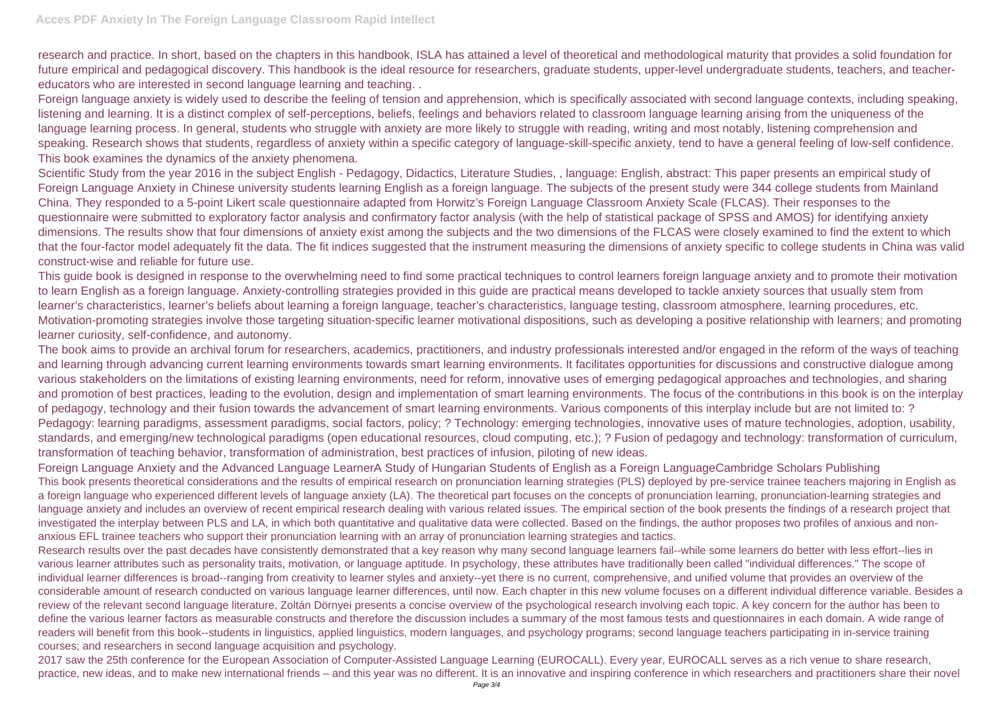research and practice. In short, based on the chapters in this handbook, ISLA has attained a level of theoretical and methodological maturity that provides a solid foundation for future empirical and pedagogical discovery. This handbook is the ideal resource for researchers, graduate students, upper-level undergraduate students, teachers, and teachereducators who are interested in second language learning and teaching. .

Foreign language anxiety is widely used to describe the feeling of tension and apprehension, which is specifically associated with second language contexts, including speaking, listening and learning. It is a distinct complex of self-perceptions, beliefs, feelings and behaviors related to classroom language learning arising from the uniqueness of the language learning process. In general, students who struggle with anxiety are more likely to struggle with reading, writing and most notably, listening comprehension and speaking. Research shows that students, regardless of anxiety within a specific category of language-skill-specific anxiety, tend to have a general feeling of low-self confidence. This book examines the dynamics of the anxiety phenomena.

Scientific Study from the year 2016 in the subject English - Pedagogy, Didactics, Literature Studies, , language: English, abstract: This paper presents an empirical study of Foreign Language Anxiety in Chinese university students learning English as a foreign language. The subjects of the present study were 344 college students from Mainland China. They responded to a 5-point Likert scale questionnaire adapted from Horwitz's Foreign Language Classroom Anxiety Scale (FLCAS). Their responses to the questionnaire were submitted to exploratory factor analysis and confirmatory factor analysis (with the help of statistical package of SPSS and AMOS) for identifying anxiety dimensions. The results show that four dimensions of anxiety exist among the subjects and the two dimensions of the FLCAS were closely examined to find the extent to which that the four-factor model adequately fit the data. The fit indices suggested that the instrument measuring the dimensions of anxiety specific to college students in China was valid construct-wise and reliable for future use.

This guide book is designed in response to the overwhelming need to find some practical techniques to control learners foreign language anxiety and to promote their motivation to learn English as a foreign language. Anxiety-controlling strategies provided in this guide are practical means developed to tackle anxiety sources that usually stem from learner's characteristics, learner's beliefs about learning a foreign language, teacher's characteristics, language testing, classroom atmosphere, learning procedures, etc. Motivation-promoting strategies involve those targeting situation-specific learner motivational dispositions, such as developing a positive relationship with learners; and promoting learner curiosity, self-confidence, and autonomy.

2017 saw the 25th conference for the European Association of Computer-Assisted Language Learning (EUROCALL). Every year, EUROCALL serves as a rich venue to share research, practice, new ideas, and to make new international friends – and this year was no different. It is an innovative and inspiring conference in which researchers and practitioners share their novel

The book aims to provide an archival forum for researchers, academics, practitioners, and industry professionals interested and/or engaged in the reform of the ways of teaching and learning through advancing current learning environments towards smart learning environments. It facilitates opportunities for discussions and constructive dialogue among various stakeholders on the limitations of existing learning environments, need for reform, innovative uses of emerging pedagogical approaches and technologies, and sharing and promotion of best practices, leading to the evolution, design and implementation of smart learning environments. The focus of the contributions in this book is on the interplay of pedagogy, technology and their fusion towards the advancement of smart learning environments. Various components of this interplay include but are not limited to: ? Pedagogy: learning paradigms, assessment paradigms, social factors, policy; ? Technology: emerging technologies, innovative uses of mature technologies, adoption, usability, standards, and emerging/new technological paradigms (open educational resources, cloud computing, etc.); ? Fusion of pedagogy and technology: transformation of curriculum, transformation of teaching behavior, transformation of administration, best practices of infusion, piloting of new ideas.

Foreign Language Anxiety and the Advanced Language LearnerA Study of Hungarian Students of English as a Foreign LanguageCambridge Scholars Publishing This book presents theoretical considerations and the results of empirical research on pronunciation learning strategies (PLS) deployed by pre-service trainee teachers majoring in English as a foreign language who experienced different levels of language anxiety (LA). The theoretical part focuses on the concepts of pronunciation learning, pronunciation-learning strategies and language anxiety and includes an overview of recent empirical research dealing with various related issues. The empirical section of the book presents the findings of a research project that investigated the interplay between PLS and LA, in which both quantitative and qualitative data were collected. Based on the findings, the author proposes two profiles of anxious and nonanxious EFL trainee teachers who support their pronunciation learning with an array of pronunciation learning strategies and tactics.

Research results over the past decades have consistently demonstrated that a key reason why many second language learners fail--while some learners do better with less effort--lies in various learner attributes such as personality traits, motivation, or language aptitude. In psychology, these attributes have traditionally been called "individual differences." The scope of individual learner differences is broad--ranging from creativity to learner styles and anxiety--yet there is no current, comprehensive, and unified volume that provides an overview of the considerable amount of research conducted on various language learner differences, until now. Each chapter in this new volume focuses on a different individual difference variable. Besides a review of the relevant second language literature, Zoltán Dörnyei presents a concise overview of the psychological research involving each topic. A key concern for the author has been to define the various learner factors as measurable constructs and therefore the discussion includes a summary of the most famous tests and questionnaires in each domain. A wide range of readers will benefit from this book--students in linguistics, applied linguistics, modern languages, and psychology programs; second language teachers participating in in-service training courses; and researchers in second language acquisition and psychology.